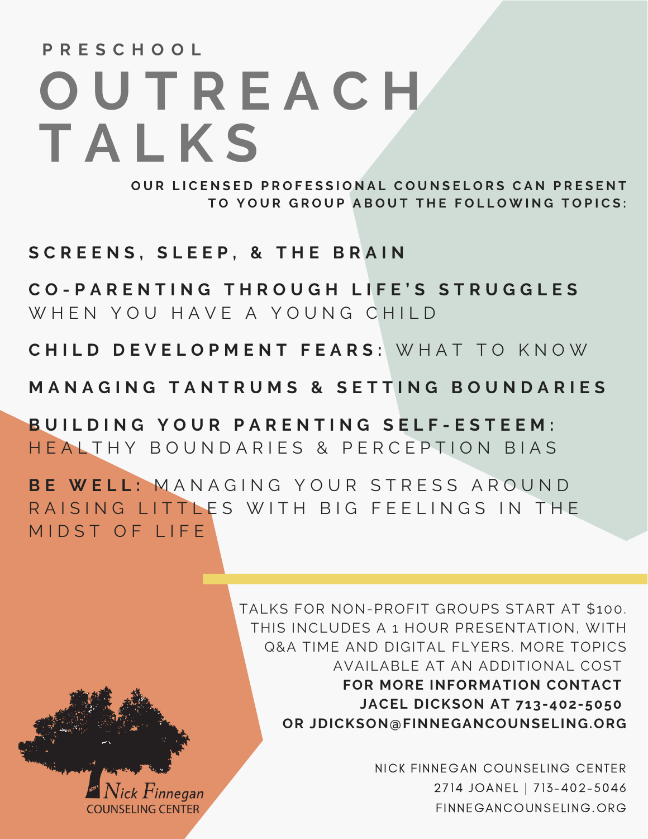# **O U T R E A C H T A L K S P R E S C H O O L**

OUR LICENSED PROFESSIONAL COUNSELORS CAN PRESENT TO YOUR GROUP ABOUT THE FOLLOWING TOPICS:

**S C R E E N S , S L E E P , & T H E B R A I N**

CO-PARENTING THROUGH LIFE'S STRUGGLES W H E N Y O U H A V E A Y O U N G C H I L D

**C H I L D D E V E L O P M E N T F E A R S :** W H A T T O K N O W

MANAGING TANTRUMS & SETTING BOUNDARIES

BUILDING YOUR PARENTING SELF-ESTEEM: HEALTHY BOUNDARIES & PERCEPTION BIAS

**B E W E L L :** M A N A G I N G Y O U R S T R E S S A R O U N D RAISING LITTLES WITH BIG FEELINGS IN THE MIDST OF LIFE

> TALKS FOR NON-PROFIT GROUPS START AT \$100. THIS INCLUDES A 1 HOUR PRESENTATION, WITH Q&A TIME AND DIGITAL FLYERS. MORE TOPICS AVAILABLE AT AN ADDITIONAL COST **FOR MORE INFORMATION CONTACT JACEL DICKSON AT 713-402-5050 OR JDICKSON@FINNEGANCOUNSELING.ORG**

> > NICK FINNEGAN COUNSELING CENTER 2714 JOANEL | 713-402-5046 FINNEGANCOUNSELING.ORG

ck  $\boldsymbol{F}$ inneaan COUNSELING CENTER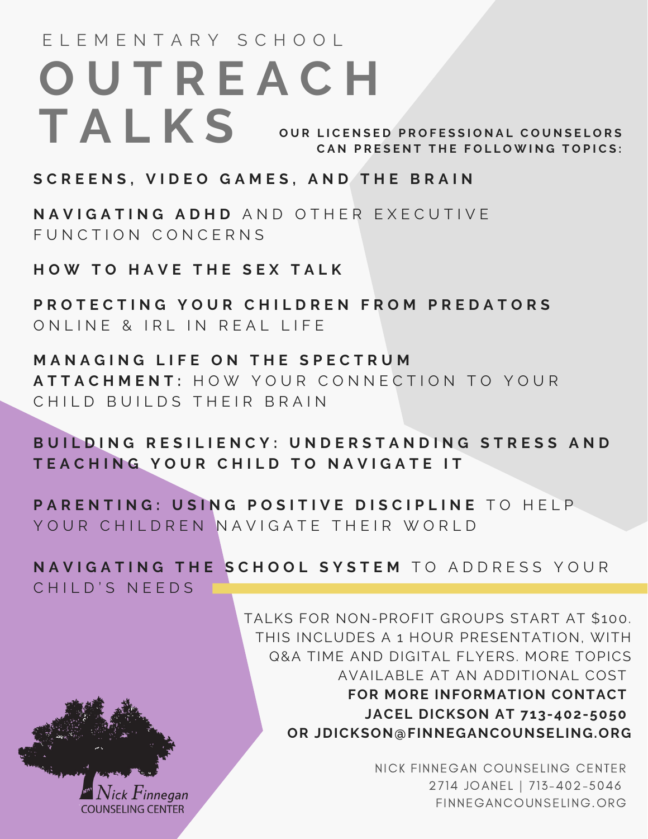### OUR LICENSED PROFESSIONAL COUNSELORS CAN PRESENT THE FOLLOWING TOPICS: **O U T R E A C H T A L K S** E L E M E N T A R Y S C H O O L

#### SCREENS, VIDEO GAMES, AND THE BRAIN

**N A V I G A T I N G A D H D** A N D O T H E R E X E C U T I V E FUNCTION CONCERNS

**H O W T O H A V E T H E S E X T A L K**

PROTECTING YOUR CHILDREN FROM PREDATORS O N L I N E & I R L I N R E A L LIFE

**M A N A G I N G L I F E O N T H E S P E C T R U M A T T A C H M E N T :** H O W Y O U R C O N N E C T I O N T O Y O U R CHILD BUILDS THEIR BRAIN

BUILDING RESILIENCY: UNDERSTANDING STRESS AND TEACHING YOUR CHILD TO NAVIGATE IT

PARENTING: USING POSITIVE DISCIPLINE TO HELP. YOUR CHILDREN NAVIGATE THEIR WORLD

NAVIGATING THE SCHOOL SYSTEM TO ADDRESS YOUR

CHILD'S NEEDS

Q&A TIME AND DIGITAL FLYERS. MORE TOPICS AVAILABLE AT AN ADDITIONAL COST **FOR MORE INFORMATION CONTACT JACEL DICKSON AT 713-402-5050 OR JDICKSON@FINNEGANCOUNSELING.ORG**

TALKS FOR NON-PROFIT GROUPS START AT \$100. THIS INCLUDES A 1 HOUR PRESENTATION, WITH

> NICK FINNEGAN COUNSELING CENTER 2714 JOANEL | 713-402-5046 FINNEGANCOUNSELING.ORG

*Finnegan* **COUNSELING CENTER**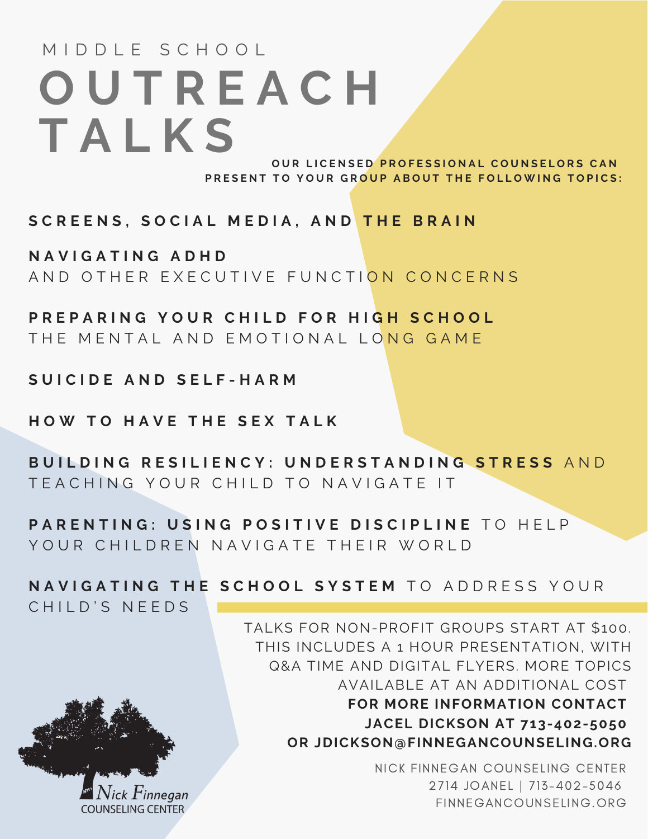## **O U T R E A C H T A L K S** M I D D I F S C H O O L

OUR LICENSED PROFESSIONAL COUNSELORS CAN PRESENT TO YOUR GROUP ABOUT THE FOLLOWING TOPICS:

SCREENS, SOCIAL MEDIA, AND THE BRAIN

**N A V I G A T I N G A D H D** A N D O T H F R F X F C U T I V E F U N C T I O N C O N C F R N S

PREPARING YOUR CHILD FOR HIGH SCHOOL THE MENTAL AND EMOTIONAL LONG GAME

**S U I C I D E A N D S E L F - H A R M**

**H O W T O H A V E T H E S E X T A L K**

BUILDING RESILIENCY: UNDERSTANDING STRESS AND T F A C H I N G Y O U R C H I I D T O N A V I G A T F I T

PARENTING: USING POSITIVE DISCIPLINE TO HELP YOUR CHILDREN NAVIGATE THEIR WORLD

NAVIGATING THE SCHOOL SYSTEM TO ADDRESS YOUR

CHILD'S NEEDS



TALKS FOR NON-PROFIT GROUPS START AT \$100. THIS INCLUDES A 1 HOUR PRESENTATION, WITH Q&A TIME AND DIGITAL FLYERS. MORE TOPICS AVAILABLE AT AN ADDITIONAL COST **FOR MORE INFORMATION CONTACT JACEL DICKSON AT 713-402-5050 OR JDICKSON@FINNEGANCOUNSELING.ORG**

> NICK FINNEGAN COUNSELING CENTER 2714 JOANEL | 713-402-5046 FINNEGANCOUNSELING.ORG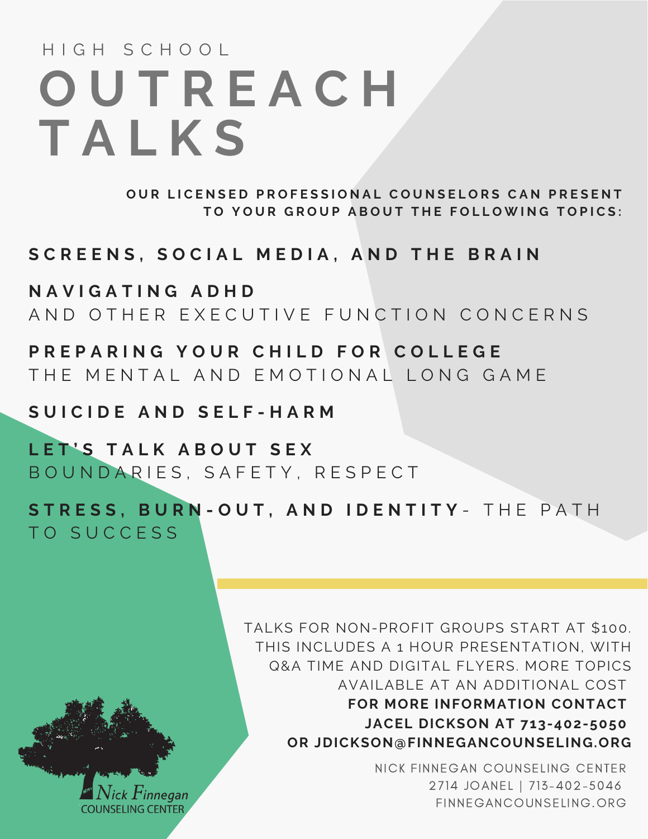# **O U T R E A C H T A L K S** H I G H S C H O O L

OUR LICENSED PROFESSIONAL COUNSELORS CAN PRESENT TO YOUR GROUP ABOUT THE FOLLOWING TOPICS:

SCREENS, SOCIAL MEDIA, AND THE BRAIN

**N A V I G A T I N G A D H D** AND OTHER EXECUTIVE FUNCTION CONCERNS

PREPARING YOUR CHILD FOR COLLEGE THE MENTAL AND EMOTIONAL LONG GAME

**S U I C I D E A N D S E L F - H A R M**

**L E T ' S T A L K A B O U T S E X** BOUNDARIES, SAFETY, RESPECT

STRESS, BURN-OUT, AND IDENTITY- THE PATH TO SUCCESS

> TALKS FOR NON-PROFIT GROUPS START AT \$100. THIS INCLUDES A 1 HOUR PRESENTATION, WITH Q&A TIME AND DIGITAL FLYERS. MORE TOPICS AVAILABLE AT AN ADDITIONAL COST **FOR MORE INFORMATION CONTACT JACEL DICKSON AT 713-402-5050 OR JDICKSON@FINNEGANCOUNSELING.ORG**

> > NICK FINNEGAN COUNSELING CENTER 2714 JOANEL | 713-402-5046 FINNEGANCOUNSELING.ORG